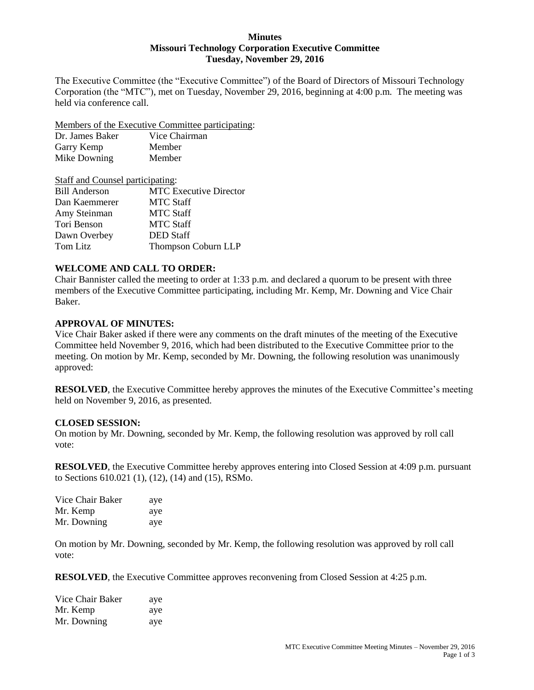#### **Minutes Missouri Technology Corporation Executive Committee Tuesday, November 29, 2016**

The Executive Committee (the "Executive Committee") of the Board of Directors of Missouri Technology Corporation (the "MTC"), met on Tuesday, November 29, 2016, beginning at 4:00 p.m. The meeting was held via conference call.

Members of the Executive Committee participating:

| Dr. James Baker | Vice Chairman |
|-----------------|---------------|
| Garry Kemp      | Member        |
| Mike Downing    | Member        |

| Staff and Counsel participating: |                               |  |
|----------------------------------|-------------------------------|--|
| <b>Bill Anderson</b>             | <b>MTC Executive Director</b> |  |
| Dan Kaemmerer                    | <b>MTC Staff</b>              |  |
| Amy Steinman                     | <b>MTC Staff</b>              |  |
| Tori Benson                      | <b>MTC Staff</b>              |  |
| Dawn Overbey                     | <b>DED</b> Staff              |  |
| Tom Litz                         | Thompson Coburn LLP           |  |

# **WELCOME AND CALL TO ORDER:**

Chair Bannister called the meeting to order at 1:33 p.m. and declared a quorum to be present with three members of the Executive Committee participating, including Mr. Kemp, Mr. Downing and Vice Chair Baker.

### **APPROVAL OF MINUTES:**

Vice Chair Baker asked if there were any comments on the draft minutes of the meeting of the Executive Committee held November 9, 2016, which had been distributed to the Executive Committee prior to the meeting. On motion by Mr. Kemp, seconded by Mr. Downing, the following resolution was unanimously approved:

**RESOLVED**, the Executive Committee hereby approves the minutes of the Executive Committee's meeting held on November 9, 2016, as presented.

### **CLOSED SESSION:**

On motion by Mr. Downing, seconded by Mr. Kemp, the following resolution was approved by roll call vote:

**RESOLVED**, the Executive Committee hereby approves entering into Closed Session at 4:09 p.m. pursuant to Sections 610.021 (1), (12), (14) and (15), RSMo.

| Vice Chair Baker | aye |
|------------------|-----|
| Mr. Kemp         | aye |
| Mr. Downing      | aye |

On motion by Mr. Downing, seconded by Mr. Kemp, the following resolution was approved by roll call vote:

**RESOLVED**, the Executive Committee approves reconvening from Closed Session at 4:25 p.m.

| Vice Chair Baker | aye |
|------------------|-----|
| Mr. Kemp         | aye |
| Mr. Downing      | aye |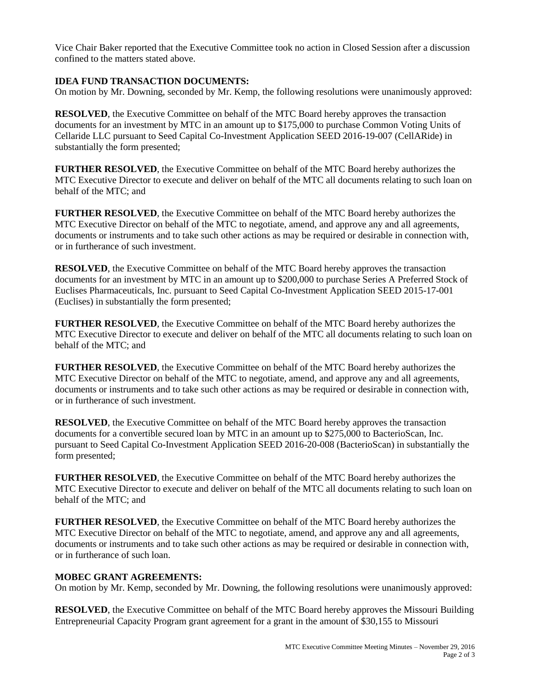Vice Chair Baker reported that the Executive Committee took no action in Closed Session after a discussion confined to the matters stated above.

# **IDEA FUND TRANSACTION DOCUMENTS:**

On motion by Mr. Downing, seconded by Mr. Kemp, the following resolutions were unanimously approved:

**RESOLVED**, the Executive Committee on behalf of the MTC Board hereby approves the transaction documents for an investment by MTC in an amount up to \$175,000 to purchase Common Voting Units of Cellaride LLC pursuant to Seed Capital Co-Investment Application SEED 2016-19-007 (CellARide) in substantially the form presented;

**FURTHER RESOLVED**, the Executive Committee on behalf of the MTC Board hereby authorizes the MTC Executive Director to execute and deliver on behalf of the MTC all documents relating to such loan on behalf of the MTC; and

**FURTHER RESOLVED**, the Executive Committee on behalf of the MTC Board hereby authorizes the MTC Executive Director on behalf of the MTC to negotiate, amend, and approve any and all agreements, documents or instruments and to take such other actions as may be required or desirable in connection with, or in furtherance of such investment.

**RESOLVED**, the Executive Committee on behalf of the MTC Board hereby approves the transaction documents for an investment by MTC in an amount up to \$200,000 to purchase Series A Preferred Stock of Euclises Pharmaceuticals, Inc. pursuant to Seed Capital Co-Investment Application SEED 2015-17-001 (Euclises) in substantially the form presented;

**FURTHER RESOLVED**, the Executive Committee on behalf of the MTC Board hereby authorizes the MTC Executive Director to execute and deliver on behalf of the MTC all documents relating to such loan on behalf of the MTC; and

**FURTHER RESOLVED**, the Executive Committee on behalf of the MTC Board hereby authorizes the MTC Executive Director on behalf of the MTC to negotiate, amend, and approve any and all agreements, documents or instruments and to take such other actions as may be required or desirable in connection with, or in furtherance of such investment.

**RESOLVED**, the Executive Committee on behalf of the MTC Board hereby approves the transaction documents for a convertible secured loan by MTC in an amount up to \$275,000 to BacterioScan, Inc. pursuant to Seed Capital Co-Investment Application SEED 2016-20-008 (BacterioScan) in substantially the form presented;

**FURTHER RESOLVED**, the Executive Committee on behalf of the MTC Board hereby authorizes the MTC Executive Director to execute and deliver on behalf of the MTC all documents relating to such loan on behalf of the MTC; and

**FURTHER RESOLVED**, the Executive Committee on behalf of the MTC Board hereby authorizes the MTC Executive Director on behalf of the MTC to negotiate, amend, and approve any and all agreements, documents or instruments and to take such other actions as may be required or desirable in connection with, or in furtherance of such loan.

### **MOBEC GRANT AGREEMENTS:**

On motion by Mr. Kemp, seconded by Mr. Downing, the following resolutions were unanimously approved:

**RESOLVED**, the Executive Committee on behalf of the MTC Board hereby approves the Missouri Building Entrepreneurial Capacity Program grant agreement for a grant in the amount of \$30,155 to Missouri